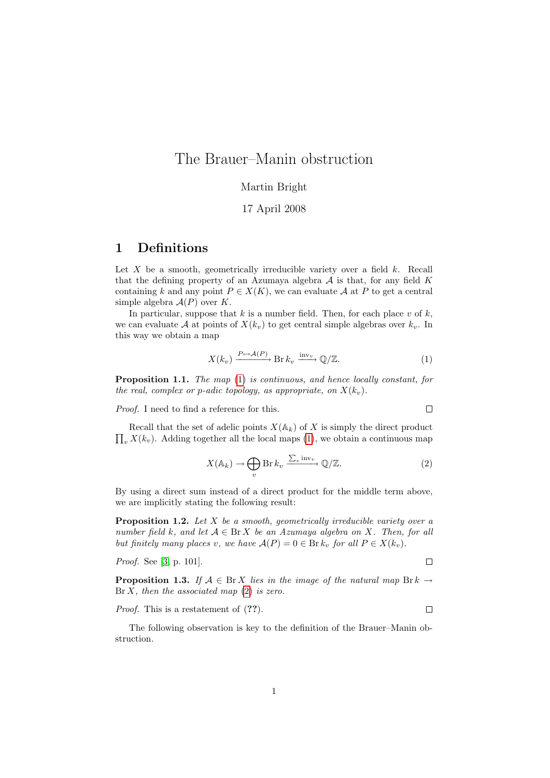# The Brauer–Manin obstruction

### Martin Bright

#### 17 April 2008

## 1 Definitions

Let  $X$  be a smooth, geometrically irreducible variety over a field  $k$ . Recall that the defining property of an Azumaya algebra  $A$  is that, for any field  $K$ containing k and any point  $P \in X(K)$ , we can evaluate A at P to get a central simple algebra  $A(P)$  over K.

In particular, suppose that k is a number field. Then, for each place v of k, we can evaluate A at points of  $X(k_v)$  to get central simple algebras over  $k_v$ . In this way we obtain a map

<span id="page-0-0"></span>
$$
X(k_v) \xrightarrow{P \mapsto \mathcal{A}(P)} \operatorname{Br} k_v \xrightarrow{\operatorname{inv}_v} \mathbb{Q}/\mathbb{Z}.
$$
 (1)

Proposition 1.1. The map [\(1\)](#page-0-0) is continuous, and hence locally constant, for the real, complex or p-adic topology, as appropriate, on  $X(k_v)$ .

Proof. I need to find a reference for this.

$$
\qquad \qquad \Box
$$

 $\prod_{v} X(k_v)$ . Adding together all the local maps [\(1\)](#page-0-0), we obtain a continuous map Recall that the set of adelic points  $X(\mathbb{A}_k)$  of X is simply the direct product

<span id="page-0-1"></span>
$$
X(\mathbb{A}_k) \to \bigoplus_v \operatorname{Br} k_v \xrightarrow{\sum_v \operatorname{inv}_v} \mathbb{Q}/\mathbb{Z}.\tag{2}
$$

By using a direct sum instead of a direct product for the middle term above, we are implicitly stating the following result:

**Proposition 1.2.** Let  $X$  be a smooth, geometrically irreducible variety over a number field k, and let  $A \in \text{Br } X$  be an Azumaya algebra on X. Then, for all but finitely many places v, we have  $A(P) = 0 \in \text{Br } k_v$  for all  $P \in X(k_v)$ .

Proof. See [\[3,](#page-4-0) p. 101].

 $\Box$ 

<span id="page-0-2"></span>**Proposition 1.3.** If  $A \in \text{Br } X$  lies in the image of the natural map  $\text{Br } k \to$  $Br X$ , then the associated map  $(2)$  is zero.

#### Proof. This is a restatement of  $(??)$ .  $\Box$

<span id="page-0-3"></span>The following observation is key to the definition of the Brauer–Manin obstruction.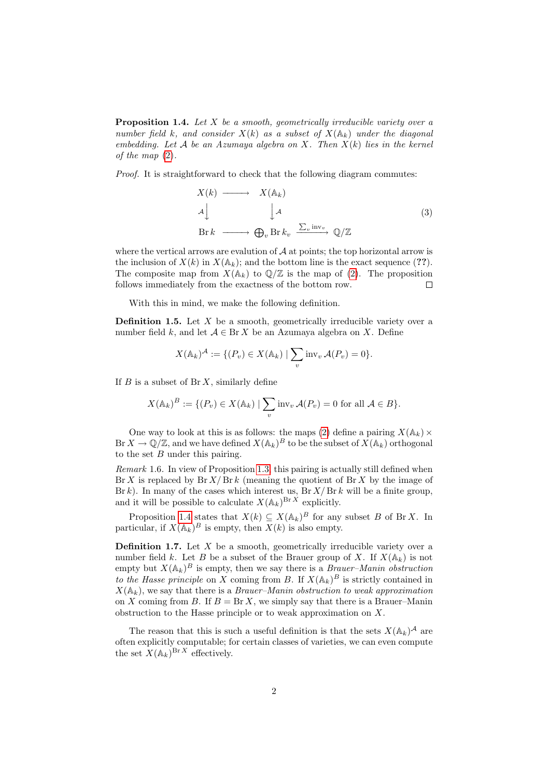**Proposition 1.4.** Let  $X$  be a smooth, geometrically irreducible variety over a number field k, and consider  $X(k)$  as a subset of  $X(\mathbb{A}_k)$  under the diagonal embedding. Let  $A$  be an Azumaya algebra on  $X$ . Then  $X(k)$  lies in the kernel of the map [\(2\)](#page-0-1).

Proof. It is straightforward to check that the following diagram commutes:

$$
X(k) \longrightarrow X(\mathbb{A}_{k})
$$
  
\n
$$
A \downarrow \qquad \qquad \downarrow A
$$
  
\n
$$
\text{Br } k \longrightarrow \bigoplus_{v} \text{Br } k_{v} \xrightarrow{\sum_{v} \text{inv}_{v}} \mathbb{Q}/\mathbb{Z}
$$
 (3)

where the vertical arrows are evalution of  $A$  at points; the top horizontal arrow is the inclusion of  $X(k)$  in  $X(\mathbb{A}_k)$ ; and the bottom line is the exact sequence (??). The composite map from  $X(\mathbb{A}_k)$  to  $\mathbb{Q}/\mathbb{Z}$  is the map of [\(2\)](#page-0-1). The proposition follows immediately from the exactness of the bottom row.  $\Box$ 

With this in mind, we make the following definition.

**Definition 1.5.** Let  $X$  be a smooth, geometrically irreducible variety over a number field k, and let  $A \in \text{Br } X$  be an Azumaya algebra on X. Define

$$
X(\mathbb{A}_k)^{\mathcal{A}} := \{ (P_v) \in X(\mathbb{A}_k) \mid \sum_v \text{inv}_v \mathcal{A}(P_v) = 0 \}.
$$

If  $B$  is a subset of  $\text{Br } X$ , similarly define

$$
X(\mathbb{A}_k)^B := \{ (P_v) \in X(\mathbb{A}_k) \mid \sum_v \text{inv}_v \mathcal{A}(P_v) = 0 \text{ for all } \mathcal{A} \in B \}.
$$

One way to look at this is as follows: the maps [\(2\)](#page-0-1) define a pairing  $X(\mathbb{A}_k) \times$  $\text{Br } X \to \mathbb{Q}/\mathbb{Z}$ , and we have defined  $X(\mathbb{A}_k)^B$  to be the subset of  $X(\mathbb{A}_k)$  orthogonal to the set  $B$  under this pairing.

Remark 1.6. In view of Proposition [1.3,](#page-0-2) this pairing is actually still defined when  $\text{Br } X$  is replaced by  $\text{Br } X / \text{Br } k$  (meaning the quotient of  $\text{Br } X$  by the image of  $Br k$ ). In many of the cases which interest us,  $Br X/Br k$  will be a finite group, and it will be possible to calculate  $X(\mathbb{A}_k)^{\mathrm{Br}\,X}$  explicitly.

Proposition [1.4](#page-0-3) states that  $X(k) \subseteq X(\mathbb{A}_k)^B$  for any subset B of Br X. In particular, if  $X(\mathbb{A}_k)^B$  is empty, then  $X(k)$  is also empty.

**Definition 1.7.** Let  $X$  be a smooth, geometrically irreducible variety over a number field k. Let B be a subset of the Brauer group of X. If  $X(\mathbb{A}_k)$  is not empty but  $X(\mathbb{A}_k)^B$  is empty, then we say there is a *Brauer–Manin obstruction* to the Hasse principle on X coming from B. If  $X(\mathbb{A}_k)^B$  is strictly contained in  $X(\mathbb{A}_k)$ , we say that there is a *Brauer–Manin obstruction to weak approximation* on X coming from B. If  $B = Br X$ , we simply say that there is a Brauer–Manin obstruction to the Hasse principle or to weak approximation on X.

The reason that this is such a useful definition is that the sets  $X(\mathbb{A}_k)^{\mathcal{A}}$  are often explicitly computable; for certain classes of varieties, we can even compute the set  $X(\mathbb{A}_k)^{\mathrm{Br}\,X}$  effectively.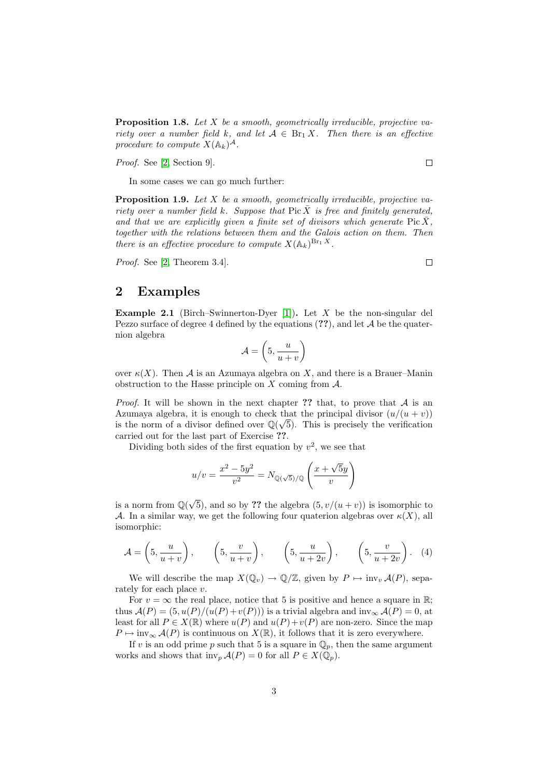**Proposition 1.8.** Let  $X$  be a smooth, geometrically irreducible, projective variety over a number field k, and let  $A \in \text{Br}_1 X$ . Then there is an effective procedure to compute  $X(\mathbb{A}_k)^{\mathcal{A}}$ .

Proof. See [\[2,](#page-4-1) Section 9].

In some cases we can go much further:

**Proposition 1.9.** Let  $X$  be a smooth, geometrically irreducible, projective variety over a number field k. Suppose that Pic  $\bar{X}$  is free and finitely generated, and that we are explicitly given a finite set of divisors which generate  $Pic X$ , together with the relations between them and the Galois action on them. Then there is an effective procedure to compute  $X(\mathbb{A}_k)^{\mathrm{Br}_1 X}$ .

Proof. See [\[2,](#page-4-1) Theorem 3.4].

## 2 Examples

**Example 2.1** (Birch–Swinnerton-Dyer [\[1\]](#page-4-2)). Let  $X$  be the non-singular del Pezzo surface of degree 4 defined by the equations  $(??)$ , and let A be the quaternion algebra

$$
\mathcal{A} = \left(5, \frac{u}{u+v}\right)
$$

over  $\kappa(X)$ . Then A is an Azumaya algebra on X, and there is a Brauer–Manin obstruction to the Hasse principle on  $X$  coming from  $A$ .

*Proof.* It will be shown in the next chapter ?? that, to prove that  $A$  is an Azumaya algebra, it is enough to check that the principal divisor  $(u/(u + v))$ is the norm of a divisor defined over  $\mathbb{Q}(\sqrt{5})$ . This is precisely the verification carried out for the last part of Exercise ??.

Dividing both sides of the first equation by  $v^2$ , we see that

$$
u/v = \frac{x^2 - 5y^2}{v^2} = N_{\mathbb{Q}(\sqrt{5})/\mathbb{Q}} \left( \frac{x + \sqrt{5}y}{v} \right)
$$

is a norm from  $\mathbb{Q}(\sqrt{2})$ 5), and so by ?? the algebra  $(5, v/(u+v))$  is isomorphic to A. In a similar way, we get the following four quaterion algebras over  $\kappa(X)$ , all isomorphic:

<span id="page-2-0"></span>
$$
\mathcal{A} = \left(5, \frac{u}{u+v}\right), \qquad \left(5, \frac{v}{u+v}\right), \qquad \left(5, \frac{u}{u+2v}\right), \qquad \left(5, \frac{v}{u+2v}\right). \quad (4)
$$

We will describe the map  $X(\mathbb{Q}_v) \to \mathbb{Q}/\mathbb{Z}$ , given by  $P \mapsto \text{inv}_v \mathcal{A}(P)$ , separately for each place v.

For  $v = \infty$  the real place, notice that 5 is positive and hence a square in R; thus  $\mathcal{A}(P) = (5, u(P)/(u(P)+v(P)))$  is a trivial algebra and inv<sub>∞</sub>  $\mathcal{A}(P) = 0$ , at least for all  $P \in X(\mathbb{R})$  where  $u(P)$  and  $u(P)+v(P)$  are non-zero. Since the map  $P \mapsto \text{inv}_{\infty} \mathcal{A}(P)$  is continuous on  $X(\mathbb{R})$ , it follows that it is zero everywhere.

If v is an odd prime p such that 5 is a square in  $\mathbb{Q}_p$ , then the same argument works and shows that  $\text{inv}_p \mathcal{A}(P) = 0$  for all  $P \in X(\mathbb{Q}_p)$ .

 $\Box$ 

 $\Box$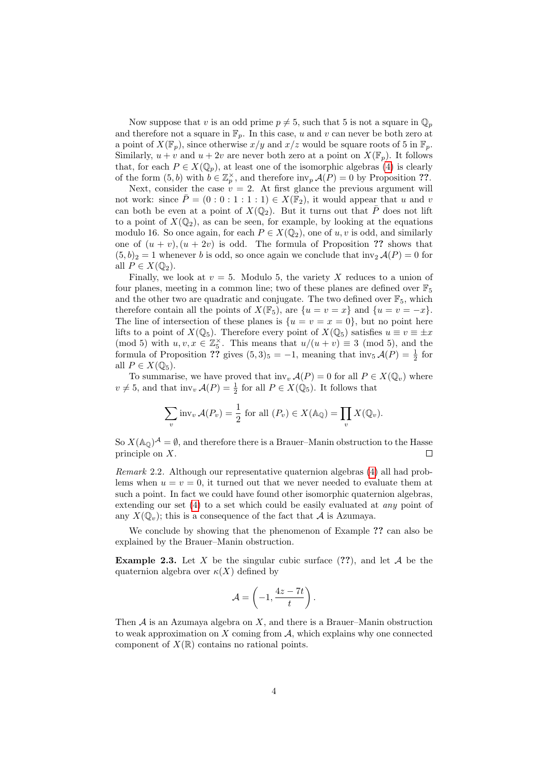Now suppose that v is an odd prime  $p \neq 5$ , such that 5 is not a square in  $\mathbb{Q}_p$ and therefore not a square in  $\mathbb{F}_p$ . In this case, u and v can never be both zero at a point of  $X(\mathbb{F}_p)$ , since otherwise  $x/y$  and  $x/z$  would be square roots of 5 in  $\mathbb{F}_p$ . Similarly,  $u + v$  and  $u + 2v$  are never both zero at a point on  $X(\mathbb{F}_p)$ . It follows that, for each  $P \in X(\mathbb{Q}_p)$ , at least one of the isomorphic algebras [\(4\)](#page-2-0) is clearly of the form  $(5,b)$  with  $b \in \mathbb{Z}_p^{\times}$ , and therefore  $\text{inv}_p \mathcal{A}(P) = 0$  by Proposition ??.

Next, consider the case  $v = 2$ . At first glance the previous argument will not work: since  $\overline{P} = (0 : 0 : 1 : 1 : 1) \in X(\mathbb{F}_2)$ , it would appear that u and v can both be even at a point of  $X(\mathbb{Q}_2)$ . But it turns out that  $\overline{P}$  does not lift to a point of  $X(\mathbb{Q}_2)$ , as can be seen, for example, by looking at the equations modulo 16. So once again, for each  $P \in X(\mathbb{Q}_2)$ , one of u, v is odd, and similarly one of  $(u + v)$ ,  $(u + 2v)$  is odd. The formula of Proposition ?? shows that  $(5, b)_2 = 1$  whenever b is odd, so once again we conclude that  $\text{inv}_2 \mathcal{A}(P) = 0$  for all  $P \in X(\mathbb{Q}_2)$ .

Finally, we look at  $v = 5$ . Modulo 5, the variety X reduces to a union of four planes, meeting in a common line; two of these planes are defined over  $\mathbb{F}_5$ and the other two are quadratic and conjugate. The two defined over  $\mathbb{F}_5$ , which therefore contain all the points of  $X(\mathbb{F}_5)$ , are  $\{u = v = x\}$  and  $\{u = v = -x\}$ . The line of intersection of these planes is  $\{u = v = x = 0\}$ , but no point here lifts to a point of  $X(\mathbb{Q}_5)$ . Therefore every point of  $X(\mathbb{Q}_5)$  satisfies  $u \equiv v \equiv \pm x$ (mod 5) with  $u, v, x \in \mathbb{Z}_5^{\times}$ . This means that  $u/(u + v) \equiv 3 \pmod{5}$ , and the formula of Proposition ?? gives  $(5,3)_5 = -1$ , meaning that  $\text{inv}_5 \mathcal{A}(P) = \frac{1}{2}$  for all  $P \in X(\mathbb{Q}_5)$ .

To summarise, we have proved that  $\text{inv}_{v} \mathcal{A}(P) = 0$  for all  $P \in X(\mathbb{Q}_{v})$  where  $v \neq 5$ , and that inv<sub>v</sub>  $\mathcal{A}(P) = \frac{1}{2}$  for all  $P \in X(\overline{\mathbb{Q}}_5)$ . It follows that

$$
\sum_{v} \text{inv}_{v} \mathcal{A}(P_{v}) = \frac{1}{2} \text{ for all } (P_{v}) \in X(\mathbb{A}_{\mathbb{Q}}) = \prod_{v} X(\mathbb{Q}_{v}).
$$

So  $X(\mathbb{A}_{\mathbb{Q}})^{\mathcal{A}} = \emptyset$ , and therefore there is a Brauer–Manin obstruction to the Hasse principle on X.  $\Box$ 

Remark 2.2. Although our representative quaternion algebras [\(4\)](#page-2-0) all had problems when  $u = v = 0$ , it turned out that we never needed to evaluate them at such a point. In fact we could have found other isomorphic quaternion algebras, extending our set  $(4)$  to a set which could be easily evaluated at *any* point of any  $X(\mathbb{O}_{v})$ ; this is a consequence of the fact that A is Azumaya.

We conclude by showing that the phenomenon of Example ?? can also be explained by the Brauer–Manin obstruction.

**Example 2.3.** Let X be the singular cubic surface  $(??)$ , and let A be the quaternion algebra over  $\kappa(X)$  defined by

$$
\mathcal{A} = \left(-1, \frac{4z - 7t}{t}\right).
$$

Then  $A$  is an Azumaya algebra on  $X$ , and there is a Brauer–Manin obstruction to weak approximation on  $X$  coming from  $A$ , which explains why one connected component of  $X(\mathbb{R})$  contains no rational points.